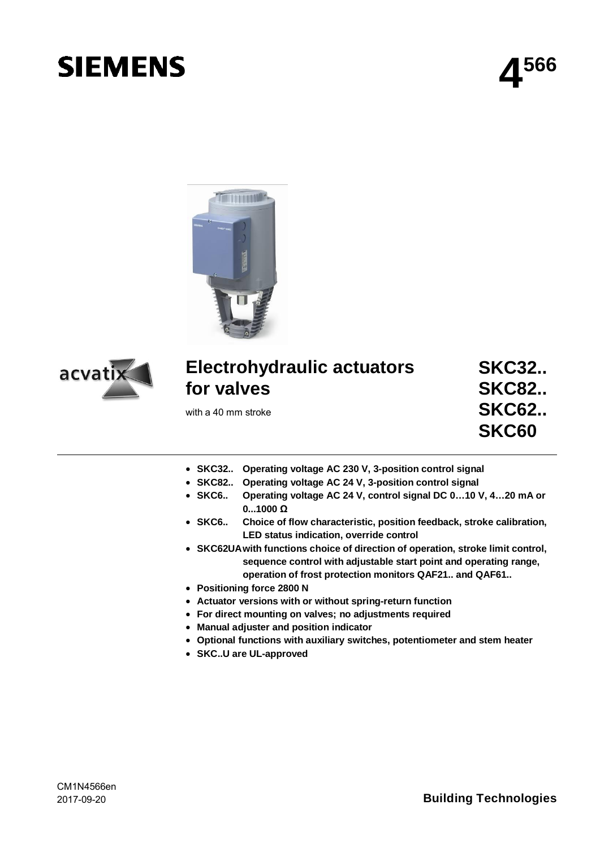# **SIEMENS**

**4 566**





## **Electrohydraulic actuators for valves**

with a 40 mm stroke

**SKC32.. SKC82.. SKC62.. SKC60**

- ∂ **SKC32.. Operating voltage AC 230 V, 3-position control signal**
- ∂ **SKC82.. Operating voltage AC 24 V, 3-position control signal**
- ∂ **SKC6.. Operating voltage AC 24 V, control signal DC 0…10 V, 4…20 mA or 0...1000 Ω**
- ∂ **SKC6.. Choice of flow characteristic, position feedback, stroke calibration, LED status indication, override control**
- ∂ **SKC62UA with functions choice of direction of operation, stroke limit control, sequence control with adjustable start point and operating range, operation of frost protection monitors QAF21.. and QAF61..**
- ∂ **Positioning force 2800 N**
- ∂ **Actuator versions with or without spring-return function**
- ∂ **For direct mounting on valves; no adjustments required**
- ∂ **Manual adjuster and position indicator**
- ∂ **Optional functions with auxiliary switches, potentiometer and stem heater**
- ∂ **SKC..U are UL-approved**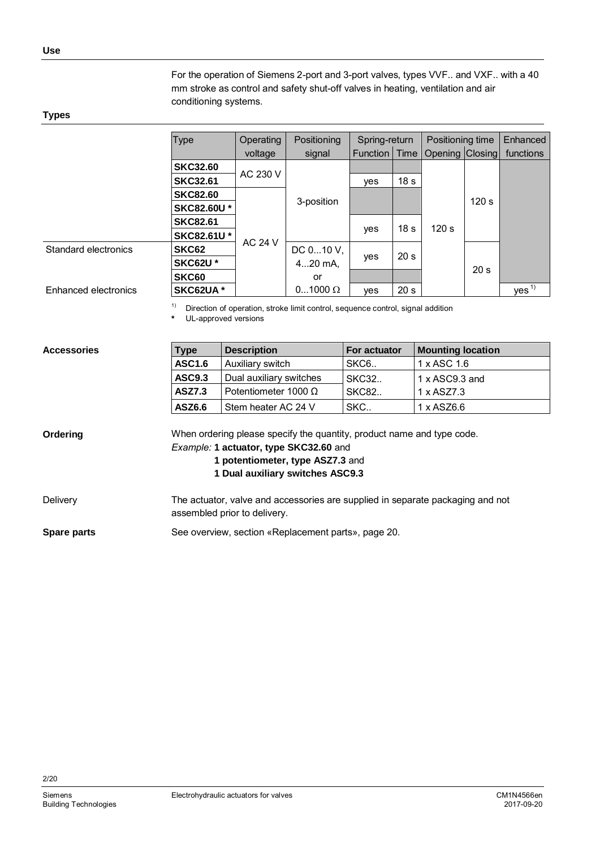For the operation of Siemens 2-port and 3-port valves, types VVF.. and VXF.. with a 40 mm stroke as control and safety shut-off valves in heating, ventilation and air conditioning systems.

#### <span id="page-1-0"></span>**Types**

|                      | <b>Type</b>       | Operating      | Positioning    | Spring-return   |                 | Positioning time |                 | Enhanced         |
|----------------------|-------------------|----------------|----------------|-----------------|-----------------|------------------|-----------------|------------------|
|                      |                   | voltage        | signal         | Function   Time |                 | Opening Closing  |                 | functions        |
|                      | <b>SKC32.60</b>   |                |                |                 |                 |                  |                 |                  |
|                      | <b>SKC32.61</b>   | AC 230 V       |                | ves             | 18 <sub>s</sub> |                  |                 |                  |
|                      | <b>SKC82.60</b>   |                | 3-position     |                 |                 |                  | 120 s           |                  |
|                      | <b>SKC82.60U*</b> |                |                |                 |                 |                  |                 |                  |
|                      | <b>SKC82.61</b>   |                |                |                 | 18 <sub>s</sub> | 120 s            |                 |                  |
|                      | <b>SKC82.61U*</b> | <b>AC 24 V</b> |                | yes             |                 |                  |                 |                  |
| Standard electronics | SKC62             |                | DC 010 V,      |                 | 20 <sub>s</sub> |                  |                 |                  |
|                      | <b>SKC62U*</b>    |                | $420$ mA.      | yes             |                 |                  | 20 <sub>s</sub> |                  |
|                      | SKC60             |                | or             |                 |                 |                  |                 |                  |
| Enhanced electronics | SKC62UA*          |                | $01000 \Omega$ | ves             | 20 <sub>s</sub> |                  |                 | Yes <sup>1</sup> |

<sup>1)</sup> Direction of operation, stroke limit control, sequence control, signal addition **\*** UL-approved versions

| <b>Accessories</b> |  |
|--------------------|--|
|                    |  |

| <b>Type</b>   | <b>Description</b>          | <b>For actuator</b> | <b>Mounting location</b> |
|---------------|-----------------------------|---------------------|--------------------------|
| <b>ASC1.6</b> | Auxiliary switch            | SKC6                | 1 x ASC 1.6              |
| <b>ASC9.3</b> | Dual auxiliary switches     | <b>SKC32</b>        | $1 \times$ ASC9.3 and    |
| <b>ASZ7.3</b> | Potentiometer 1000 $\Omega$ | <b>SKC82</b>        | 1 x AS77.3               |
| ASZ6.6        | Stem heater AC 24 V         | SKC                 | 1 x ASZ6.6               |

When ordering please specify the quantity, product name and type code. *Example:* **1 actuator, type SKC32.60** and **1 potentiometer, type ASZ7.3** and **Ordering**

- **1 Dual auxiliary switches ASC9.3**
- The actuator, valve and accessories are supplied in separate packaging and not assembled prior to delivery. **Delivery**

See overview, section «Replacement parts», page [20.](#page-19-0) **Spare parts**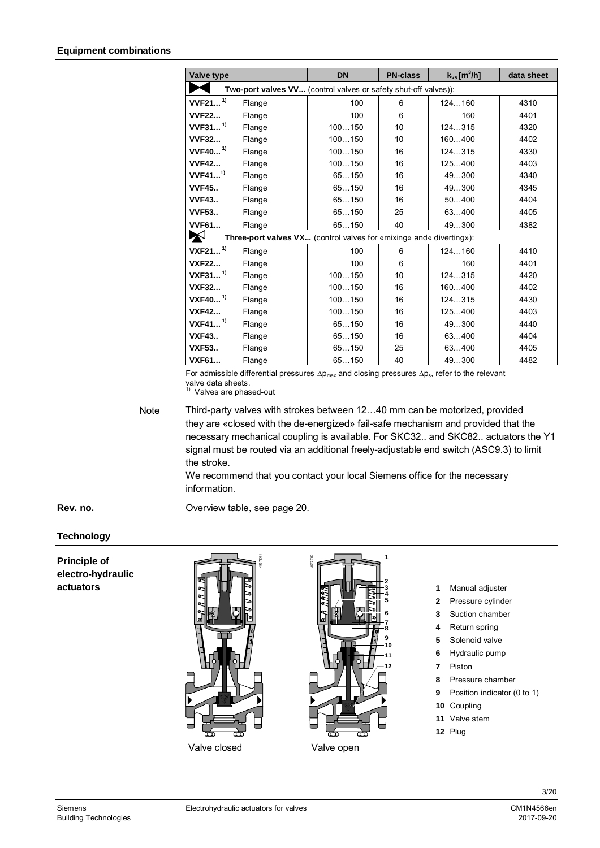<span id="page-2-0"></span>

|                       |        | <b>DN</b>                                                                   | <b>PN-class</b> | $k_{vs}$ [m <sup>3</sup> /h] | data sheet |
|-----------------------|--------|-----------------------------------------------------------------------------|-----------------|------------------------------|------------|
| Valve type            |        |                                                                             |                 |                              |            |
|                       |        | Two-port valves VV (control valves or safety shut-off valves)):             |                 |                              |            |
| $VVF21$ <sup>1)</sup> | Flange | 100                                                                         | 6               | 124160                       | 4310       |
| <b>VVF22</b>          | Flange | 100                                                                         | 6               | 160                          | 4401       |
| $VVF31$ <sup>1)</sup> | Flange | 100150                                                                      | 10              | 124315                       | 4320       |
| <b>VVF32</b>          | Flange | 100150                                                                      | 10              | 160400                       | 4402       |
| $VVF40$ <sup>1)</sup> | Flange | 100150                                                                      | 16              | 124315                       | 4330       |
| <b>VVF42</b>          | Flange | 100150                                                                      | 16              | 125400                       | 4403       |
| VVF41 <sup>1)</sup>   | Flange | 65150                                                                       | 16              | 49300                        | 4340       |
| <b>VVF45</b>          | Flange | 65150                                                                       | 16              | 49300                        | 4345       |
| <b>VVF43</b>          | Flange | 65150                                                                       | 16              | 50400                        | 4404       |
| <b>VVF53</b>          | Flange | 65150                                                                       | 25              | 63400                        | 4405       |
| <b>VVF61</b>          | Flange | 65150                                                                       | 40              | 49300                        | 4382       |
| X                     |        | <b>Three-port valves VX</b> (control valves for «mixing» and « diverting»): |                 |                              |            |
| $VXF21$ <sup>1)</sup> | Flange | 100                                                                         | 6               | 124160                       | 4410       |
| <b>VXF22</b>          | Flange | 100                                                                         | 6               | 160                          | 4401       |
| $VXF31$ <sup>1)</sup> | Flange | 100150                                                                      | 10              | 124315                       | 4420       |
| <b>VXF32</b>          | Flange | 100150                                                                      | 16              | 160400                       | 4402       |
| VXF40 <sup>1)</sup>   | Flange | 100150                                                                      | 16              | 124315                       | 4430       |
| <b>VXF42</b>          | Flange | 100150                                                                      | 16              | 125400                       | 4403       |
| VXF41 <sup>1)</sup>   | Flange | 65150                                                                       | 16              | 49300                        | 4440       |
| <b>VXF43</b>          | Flange | 65150                                                                       | 16              | 63400                        | 4404       |
| <b>VXF53</b>          | Flange | 65150                                                                       | 25              | 63400                        | 4405       |
| <b>VXF61</b>          | Flange | 65150                                                                       | 40              | 49300                        | 4482       |

For admissible differential pressures  $\Delta p_{\text{max}}$  and closing pressures  $\Delta p_{\text{s}}$ , refer to the relevant valve data sheets. 1) Valves are phased-out

Third-party valves with strokes between 12…40 mm can be motorized, provided they are «closed with the de-energized» fail-safe mechanism and provided that the necessary mechanical coupling is available. For SKC32.. and SKC82.. actuators the Y1 signal must be routed via an additional freely-adjustable end switch (ASC9.3) to limit the stroke. Note

> We recommend that you contact your local Siemens office for the necessary information.

Overview table, see page [20](#page-19-1).

#### **Technology**

**Rev. no.**

**Principle of electro-hydraulic actuators**





- **1** Manual adjuster
- **2** Pressure cylinder
- **3** Suction chamber
- **4** Return spring
- **5** Solenoid valve
- **6** Hydraulic pump
- **7** Piston
- **8** Pressure chamber
- **9** Position indicator (0 to 1)
- **10** Coupling
- **11** Valve stem
- **12** Plug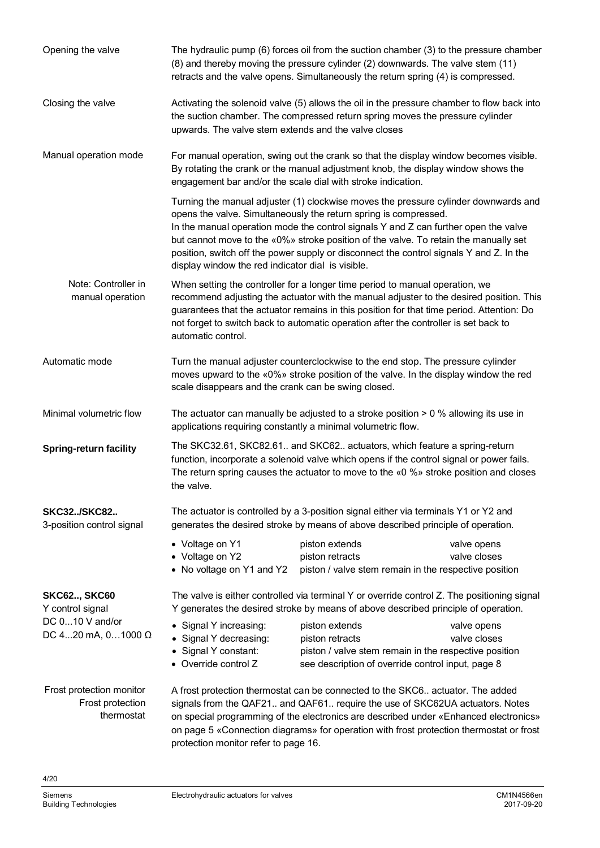| Opening the valve                                          | The hydraulic pump (6) forces oil from the suction chamber (3) to the pressure chamber<br>(8) and thereby moving the pressure cylinder (2) downwards. The valve stem (11)<br>retracts and the valve opens. Simultaneously the return spring (4) is compressed.                                                                                                                     |                                                                                                                                                                                                                                                                                                                                                                                                                                   |                             |  |  |  |
|------------------------------------------------------------|------------------------------------------------------------------------------------------------------------------------------------------------------------------------------------------------------------------------------------------------------------------------------------------------------------------------------------------------------------------------------------|-----------------------------------------------------------------------------------------------------------------------------------------------------------------------------------------------------------------------------------------------------------------------------------------------------------------------------------------------------------------------------------------------------------------------------------|-----------------------------|--|--|--|
| Closing the valve                                          | upwards. The valve stem extends and the valve closes                                                                                                                                                                                                                                                                                                                               | Activating the solenoid valve (5) allows the oil in the pressure chamber to flow back into<br>the suction chamber. The compressed return spring moves the pressure cylinder                                                                                                                                                                                                                                                       |                             |  |  |  |
| Manual operation mode                                      | For manual operation, swing out the crank so that the display window becomes visible.<br>By rotating the crank or the manual adjustment knob, the display window shows the<br>engagement bar and/or the scale dial with stroke indication.                                                                                                                                         |                                                                                                                                                                                                                                                                                                                                                                                                                                   |                             |  |  |  |
|                                                            | display window the red indicator dial is visible.                                                                                                                                                                                                                                                                                                                                  | Turning the manual adjuster (1) clockwise moves the pressure cylinder downwards and<br>opens the valve. Simultaneously the return spring is compressed.<br>In the manual operation mode the control signals Y and Z can further open the valve<br>but cannot move to the «0%» stroke position of the valve. To retain the manually set<br>position, switch off the power supply or disconnect the control signals Y and Z. In the |                             |  |  |  |
| Note: Controller in<br>manual operation                    | When setting the controller for a longer time period to manual operation, we<br>recommend adjusting the actuator with the manual adjuster to the desired position. This<br>guarantees that the actuator remains in this position for that time period. Attention: Do<br>not forget to switch back to automatic operation after the controller is set back to<br>automatic control. |                                                                                                                                                                                                                                                                                                                                                                                                                                   |                             |  |  |  |
| Automatic mode                                             | Turn the manual adjuster counterclockwise to the end stop. The pressure cylinder<br>moves upward to the «0%» stroke position of the valve. In the display window the red<br>scale disappears and the crank can be swing closed.                                                                                                                                                    |                                                                                                                                                                                                                                                                                                                                                                                                                                   |                             |  |  |  |
| Minimal volumetric flow                                    | The actuator can manually be adjusted to a stroke position $> 0$ % allowing its use in<br>applications requiring constantly a minimal volumetric flow.                                                                                                                                                                                                                             |                                                                                                                                                                                                                                                                                                                                                                                                                                   |                             |  |  |  |
| <b>Spring-return facility</b>                              | The SKC32.61, SKC82.61 and SKC62 actuators, which feature a spring-return<br>function, incorporate a solenoid valve which opens if the control signal or power fails.<br>The return spring causes the actuator to move to the $\alpha$ 0 % stroke position and closes<br>the valve.                                                                                                |                                                                                                                                                                                                                                                                                                                                                                                                                                   |                             |  |  |  |
| <b>SKC32/SKC82</b><br>3-position control signal            |                                                                                                                                                                                                                                                                                                                                                                                    | The actuator is controlled by a 3-position signal either via terminals Y1 or Y2 and<br>generates the desired stroke by means of above described principle of operation.                                                                                                                                                                                                                                                           |                             |  |  |  |
|                                                            | • Voltage on Y1<br>• Voltage on Y2<br>• No voltage on Y1 and Y2                                                                                                                                                                                                                                                                                                                    | piston extends<br>piston retracts<br>piston / valve stem remain in the respective position                                                                                                                                                                                                                                                                                                                                        | valve opens<br>valve closes |  |  |  |
| <b>SKC62, SKC60</b><br>Y control signal                    |                                                                                                                                                                                                                                                                                                                                                                                    | The valve is either controlled via terminal Y or override control Z. The positioning signal<br>Y generates the desired stroke by means of above described principle of operation.                                                                                                                                                                                                                                                 |                             |  |  |  |
| DC 010 V and/or<br>DC 420 mA, $01000 \Omega$               | • Signal Y increasing:<br>• Signal Y decreasing:<br>• Signal Y constant:<br>Override control Z                                                                                                                                                                                                                                                                                     | piston extends<br>piston retracts<br>piston / valve stem remain in the respective position<br>see description of override control input, page 8                                                                                                                                                                                                                                                                                   | valve opens<br>valve closes |  |  |  |
| Frost protection monitor<br>Frost protection<br>thermostat | protection monitor refer to page 16.                                                                                                                                                                                                                                                                                                                                               | A frost protection thermostat can be connected to the SKC6 actuator. The added<br>signals from the QAF21 and QAF61 require the use of SKC62UA actuators. Notes<br>on special programming of the electronics are described under «Enhanced electronics»<br>on page 5 «Connection diagrams» for operation with frost protection thermostat or frost                                                                                 |                             |  |  |  |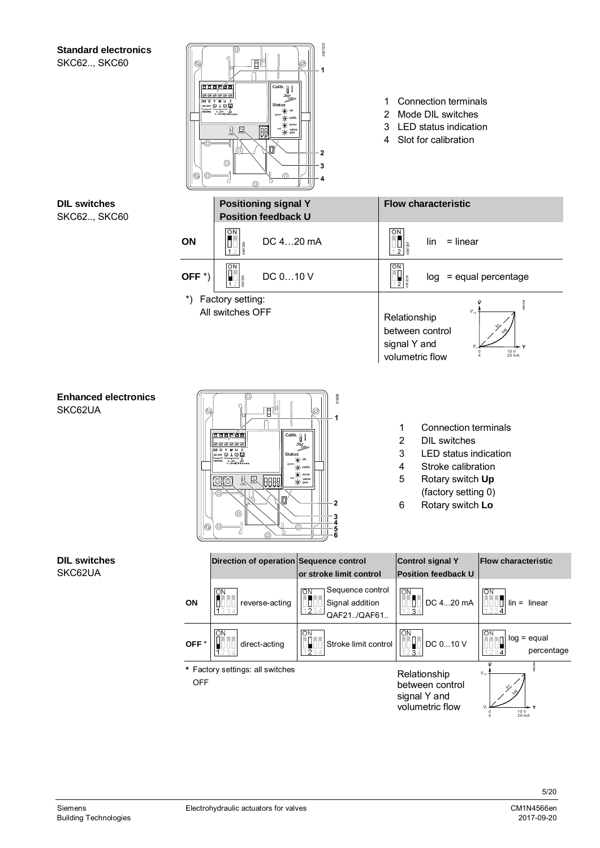#### <span id="page-4-0"></span>**Standard electronics** SKC62..,

| <b>Standard electronics</b><br><b>SKC62, SKC60</b> | ⊛<br>000<br>⊚<br> ⊗<br>(O) | 呵削<br>$\overline{\text{Calib.}}$<br>666 <b>7</b> 66<br>GO G Y M U Z<br>AC 24V (U L (U L)<br><b>Status</b><br>$\frac{0.10V}{4.2000}$ or $\frac{0.10V}{1.000}$<br>米<br>廻<br>$\Xi$<br>$-\lambda$ valve<br>i o<br>O)<br>⊚<br>ര<br>൫                                                                                                                                                                                                                      | 4567203<br>Ø<br>- 1<br>$-2$<br>3<br>4                                                                             | 1<br>2<br>3<br>4                                  | <b>Connection terminals</b><br>Mode DIL switches<br>LED status indication<br>Slot for calibration                                                                |                                                                                  |
|----------------------------------------------------|----------------------------|------------------------------------------------------------------------------------------------------------------------------------------------------------------------------------------------------------------------------------------------------------------------------------------------------------------------------------------------------------------------------------------------------------------------------------------------------|-------------------------------------------------------------------------------------------------------------------|---------------------------------------------------|------------------------------------------------------------------------------------------------------------------------------------------------------------------|----------------------------------------------------------------------------------|
| <b>DIL switches</b><br><b>SKC62, SKC60</b>         |                            | <b>Positioning signal Y</b><br><b>Position feedback U</b>                                                                                                                                                                                                                                                                                                                                                                                            |                                                                                                                   |                                                   | <b>Flow characteristic</b>                                                                                                                                       |                                                                                  |
|                                                    | ON                         | QN<br>$\begin{array}{c} \n\frac{1}{2} \\ \frac{1}{2} \\ \frac{1}{2} \\ \frac{1}{2} \\ \frac{1}{2} \\ \frac{1}{2} \\ \frac{1}{2} \\ \frac{1}{2} \\ \frac{1}{2} \\ \frac{1}{2} \\ \frac{1}{2} \\ \frac{1}{2} \\ \frac{1}{2} \\ \frac{1}{2} \\ \frac{1}{2} \\ \frac{1}{2} \\ \frac{1}{2} \\ \frac{1}{2} \\ \frac{1}{2} \\ \frac{1}{2} \\ \frac{1}{2} \\ \frac{1}{2} \\ \frac{1}{2} \\ \frac{1}{2} \\ \frac{1}{2} \\ \frac{1}{2} \\ \frac{$<br>DC 420 mA |                                                                                                                   | $\overline{ON}$<br>0<br>1071991<br>$\overline{2}$ | $=$ linear<br>lin                                                                                                                                                |                                                                                  |
|                                                    | OFF $*$ )                  | $\overline{ON}$<br>DC 010 V                                                                                                                                                                                                                                                                                                                                                                                                                          |                                                                                                                   | $\overline{ON}$<br>$\frac{1}{2}$                  |                                                                                                                                                                  | $log =$ equal percentage                                                         |
|                                                    | $\boldsymbol{r}$           | Factory setting:<br>All switches OFF                                                                                                                                                                                                                                                                                                                                                                                                                 |                                                                                                                   | Relationship<br>signal Y and                      | between control<br>volumetric flow                                                                                                                               | 10 V<br>20 mA                                                                    |
| <b>Enhanced electronics</b><br>SKC62UA             | $ \circledcirc$            | 19<br>T<br>Calib.<br>666 <u>7</u> 66<br><b>000000</b><br>40 G Y M U Z<br><b>Status</b><br>2000000<br>$\mathbb{R}$<br>$\mathbb{R}$<br> BBB9<br>0O<br>O<br>∞<br>$\circledcirc$<br>⊚<br>5                                                                                                                                                                                                                                                               | 01638<br>℗<br>1<br>∾<br>-of calib<br>$\star$ error<br>$\frac{1}{\sqrt{2}}$ valve<br>$\overline{2}$<br>⋒<br>Ш<br>5 | 1<br>$\overline{2}$<br>3<br>4<br>5<br>6           | <b>Connection terminals</b><br><b>DIL</b> switches<br>LED status indication<br>Stroke calibration<br>Rotary switch Up<br>(factory setting 0)<br>Rotary switch Lo |                                                                                  |
| <b>DIL switches</b><br>SKC62UA                     |                            | Direction of operation Sequence control                                                                                                                                                                                                                                                                                                                                                                                                              | or stroke limit control                                                                                           |                                                   | <b>Control signal Y</b><br><b>Position feedback U</b>                                                                                                            | <b>Flow characteristic</b>                                                       |
|                                                    | ON                         | $\overline{\mathsf{S}}$<br>reverse-acting                                                                                                                                                                                                                                                                                                                                                                                                            | Sequence control<br>$\overline{ON}$<br>Ľ<br>Signal addition<br>1234<br>QAF21./QAF61                               | $\overline{ON}$                                   | DC 420 mA<br>з.                                                                                                                                                  | ιον<br>О<br>$lin = linear$<br>12<br>$\overline{4}$                               |
|                                                    | OFF*                       | ON<br>direct-acting<br>34                                                                                                                                                                                                                                                                                                                                                                                                                            | ON<br>Stroke limit control<br>OUO<br>1234                                                                         | $\overline{ON}$                                   | DC 010 V<br>34                                                                                                                                                   | $\boxed{\circ}$<br>$log =$ equal<br>ш<br>percentage<br>1234                      |
|                                                    | <b>OFF</b>                 | * Factory settings: all switches                                                                                                                                                                                                                                                                                                                                                                                                                     |                                                                                                                   |                                                   | Relationship<br>between control<br>signal Y and<br>volumetric flow                                                                                               | $\dot{V}_{12}$<br>$\begin{array}{c}\n10 \text{ V} \\ 20 \text{ mA}\n\end{array}$ |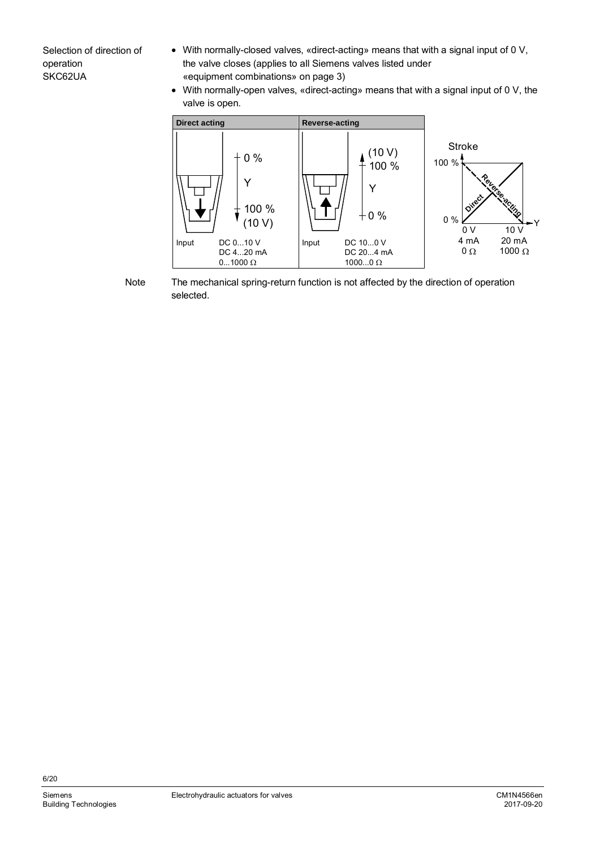Selection of direction of operation SKC62UA

- ∂ With normally-closed valves, «direct-acting» means that with a signal input of 0 V, the valve closes (applies to all Siemens valves listed under «equipment combinations» on page [3\)](#page-2-0)
- ∂ With normally-open valves, «direct-acting» means that with a signal input of 0 V, the valve is open.



The mechanical spring-return function is not affected by the direction of operation selected. Note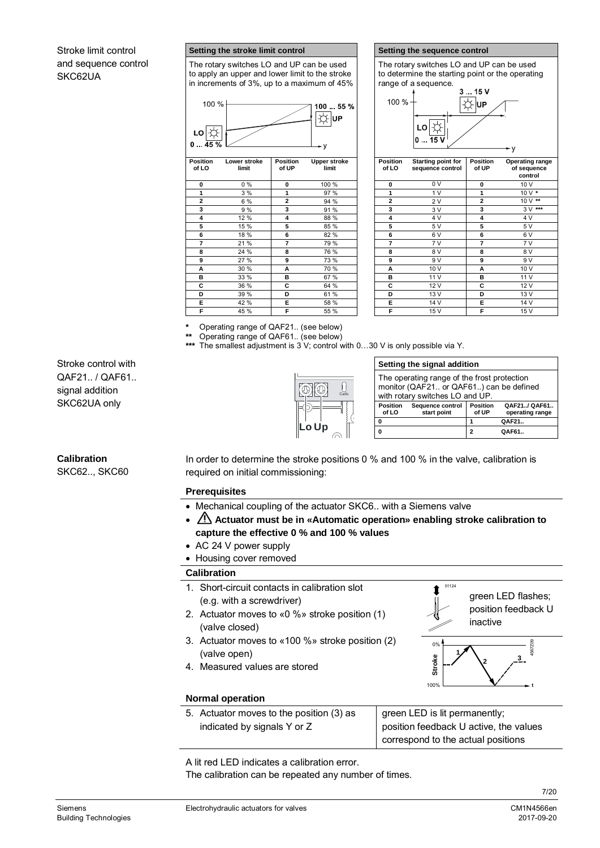#### Stroke limit control and sequence control SKC62UA

#### **Setting the stroke limit control Setting the sequence control**

The rotary switches LO and UP can be used to apply an upper and lower limit to the stroke in increments of 3%, up to a maximum of 45%



| Position<br>of LO | Lower stroke<br>limit | Position<br>of UP | <b>Upper stroke</b><br>limit |
|-------------------|-----------------------|-------------------|------------------------------|
| 0                 | $0\%$                 | 0                 | 100 %                        |
| 1                 | 3 %                   | 1                 | 97 %                         |
| $\overline{c}$    | 6 %                   | $\overline{a}$    | 94 %                         |
| 3                 | 9%                    | 3                 | 91 %                         |
| 4                 | 12 %                  | 4                 | 88 %                         |
| 5                 | 15 %                  | 5                 | 85 %                         |
| 6                 | 18 %                  | 6                 | 82 %                         |
| $\overline{7}$    | 21 %                  | 7                 | 79 %                         |
| 8                 | 24 %                  | 8                 | 76 %                         |
| 9                 | 27 %                  | 9                 | 73 %                         |
| A                 | 30 %                  | A                 | 70 %                         |
| в                 | 33 %                  | в                 | 67 %                         |
| C                 | 36 %                  | С                 | 64 %                         |
| D                 | 39 %                  | D                 | 61 %                         |
| E                 | 42 %                  | Е                 | 58 %                         |
| F                 | 45 %                  | F                 | 55 %                         |

The rotary switches LO and UP can be used to determine the starting point or the operating range of a sequence.



| sition<br>LΟ            | Lower stroke<br>limit | <b>Position</b><br>of UP | <b>Upper stroke</b><br>limit | <b>Position</b><br>of LO | <b>Starting point for</b><br>sequence control | <b>Position</b><br>of UP | Operating range<br>of sequence<br>control |
|-------------------------|-----------------------|--------------------------|------------------------------|--------------------------|-----------------------------------------------|--------------------------|-------------------------------------------|
| 0                       | $0\%$                 | 0                        | 100 %                        | 0                        | 0 <sub>V</sub>                                | $\mathbf{0}$             | 10 V                                      |
| 1                       | 3%                    | $\mathbf{1}$             | 97 %                         | 1                        | 1 <sub>V</sub>                                | 1                        | $10V*$                                    |
| $\overline{2}$          | 6 %                   | $\overline{2}$           | 94 %                         | $\overline{2}$           | 2V                                            | $\overline{a}$           | 10 V **                                   |
| $\overline{\mathbf{3}}$ | 9 %                   | 3                        | 91 %                         | 3                        | 3V                                            | 3                        | $3V***$                                   |
| 4                       | 12 %                  | 4                        | 88 %                         | 4                        | 4 V                                           | 4                        | 4 V                                       |
| 5                       | 15 %                  | 5                        | 85 %                         | 5                        | 5 V                                           | 5                        | 5 V                                       |
| 6                       | 18 %                  | 6                        | 82 %                         | 6                        | 6 V                                           | 6                        | 6 V                                       |
|                         | 21 %                  | 7                        | 79 %                         | 7                        | 7V                                            | 7                        | 7V                                        |
| 8                       | 24 %                  | 8                        | 76 %                         | 8                        | 8 V                                           | 8                        | 8 V                                       |
| 9                       | 27 %                  | 9                        | 73 %                         | 9                        | 9 V                                           | 9                        | 9 V                                       |
| A                       | 30 %                  | A                        | 70 %                         | A                        | 10 V                                          | A                        | 10 V                                      |
| B                       | 33 %                  | в                        | 67 %                         | в                        | 11V                                           | в                        | 11 V                                      |
| $\overline{\mathbf{c}}$ | 36 %                  | С                        | 64 %                         | C                        | 12 V                                          | С                        | 12 V                                      |
| D                       | 39 %                  | D                        | 61 %                         | D                        | 13 V                                          | D                        | 13 V                                      |
| Ē                       | 42 %                  | Е                        | 58 %                         | Е                        | 14 V                                          | Е                        | 14 V                                      |
| F                       | 45 %                  | F                        | 55 %                         | F                        | 15 V                                          | F                        | 15 V                                      |

**Setting the signal addition**

with rotary switches LO and UP.

**Sequence control start point**

 The operating range of the frost protection monitor (QAF21.. or QAF61..) can be defined

**0 1 QAF21.. 0 2 QAF61..**

01124

**Position of UP**

**QAF21../ QAF61.. operating range**

**\*** Operating range of QAF21.. (see below) Operating range of QAF61.. (see below)

The smallest adjustment is 3 V; control with 0...30 V is only possible via Y.

**Lo Up**

Stroke control with QAF21.. / QAF61.. signal addition SKC62UA only

#### **Calibration**

SKC62.., SKC60

In order to determine the stroke positions 0 % and 100 % in the valve, calibration is required on initial commissioning:

Calib.

**Position of LO**

#### **Prerequisites**

- ∂ Mechanical coupling of the actuator SKC6.. with a Siemens valve
- ∂ **Actuator must be in «Automatic operation» enabling stroke calibration to capture the effective 0 % and 100 % values**
- ∂ AC 24 V power supply
- Housing cover removed

#### **Calibration**

- 1. Short-circuit contacts in calibration slot (e.g. with a screwdriver)
- 2. Actuator moves to «0 %» stroke position (1) (valve closed)
- 3. Actuator moves to «100 %» stroke position (2) (valve open)
- 4. Measured values are stored

#### green LED flashes; position feedback U inactive 0% 100% **the second intervent with the second second intervention in the second second intervention in the second second intervention in the second second intervention in the second second intervention in the second second in Stroke 1 2 3** 4567Z09

#### **Normal operation**

5. Actuator moves to the position (3) as indicated by signals Y or Z

green LED is lit permanently; position feedback U active, the values correspond to the actual positions

A lit red LED indicates a calibration error.

The calibration can be repeated any number of times.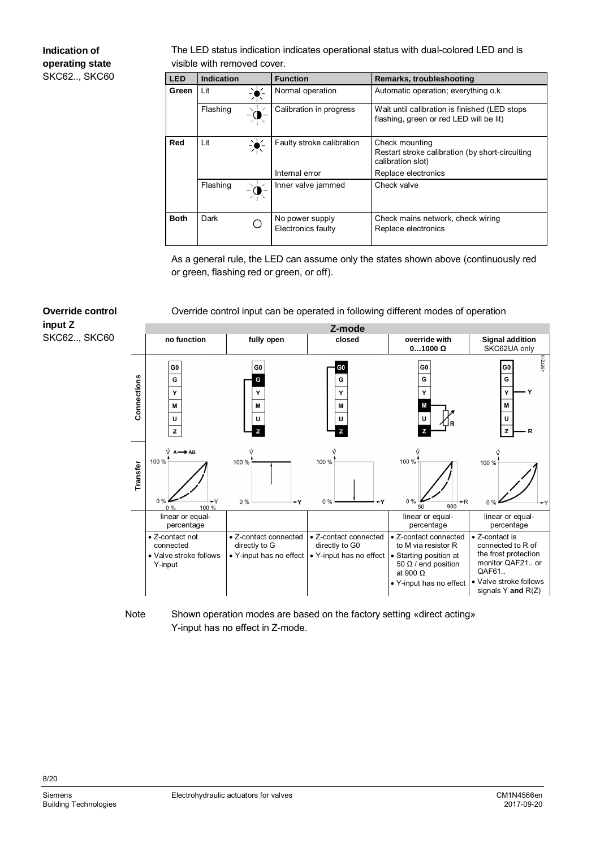#### **Indication of operating state** SKC62.., SKC60

**Override control**

SKC62.., SKC60

**input Z**

The LED status indication indicates operational status with dual-colored LED and is visible with removed cover.

| <b>LED</b>  | <b>Indication</b> |           | <b>Function</b>                       | Remarks, troubleshooting                                                                 |
|-------------|-------------------|-----------|---------------------------------------|------------------------------------------------------------------------------------------|
| Green       | Lit               | ▚▚<br>77N | Normal operation                      | Automatic operation; everything o.k.                                                     |
|             | Flashing          | N.        | Calibration in progress               | Wait until calibration is finished (LED stops<br>flashing, green or red LED will be lit) |
| Red         | Lit               | ∹≚≦       | Faulty stroke calibration             | Check mounting<br>Restart stroke calibration (by short-circuiting<br>calibration slot)   |
|             |                   |           | Internal error                        | Replace electronics                                                                      |
|             | Flashing          |           | Inner valve jammed                    | Check valve                                                                              |
| <b>Both</b> | Dark              |           | No power supply<br>Electronics faulty | Check mains network, check wiring<br>Replace electronics                                 |

<span id="page-7-0"></span>As a general rule, the LED can assume only the states shown above (continuously red or green, flashing red or green, or off).

#### Override control input can be operated in following different modes of operation



Shown operation modes are based on the factory setting «direct acting» Y-input has no effect in Z-mode. Note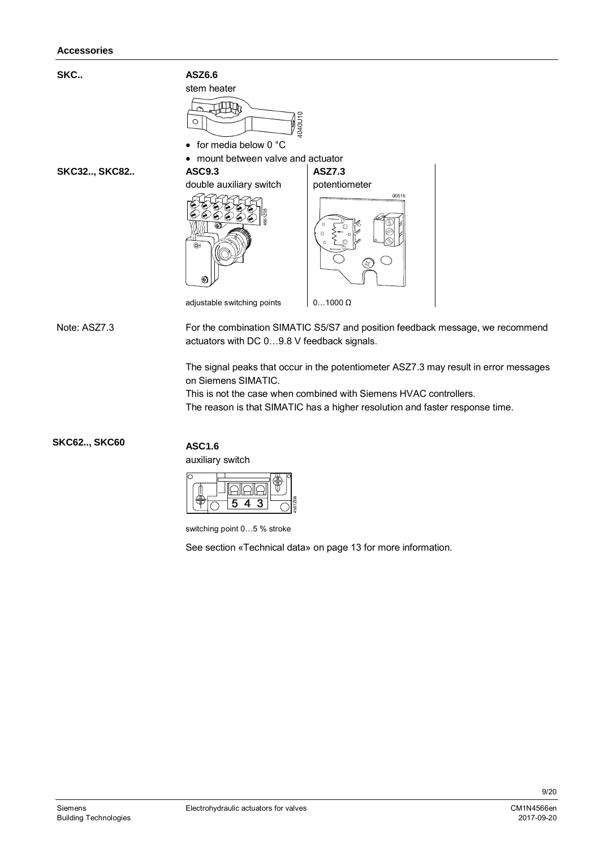

The signal peaks that occur in the potentiometer ASZ7.3 may result in error messages on Siemens SIMATIC.

This is not the case when combined with Siemens HVAC controllers. The reason is that SIMATIC has a higher resolution and faster response time.

**SKC62.., SKC60**

#### **ASC1.6**

auxiliary switch

| œ |  |  |  |
|---|--|--|--|
|   |  |  |  |
|   |  |  |  |
|   |  |  |  |

switching point 0…5 % stroke

See section «Technical data» on page [13](#page-12-0) for more information.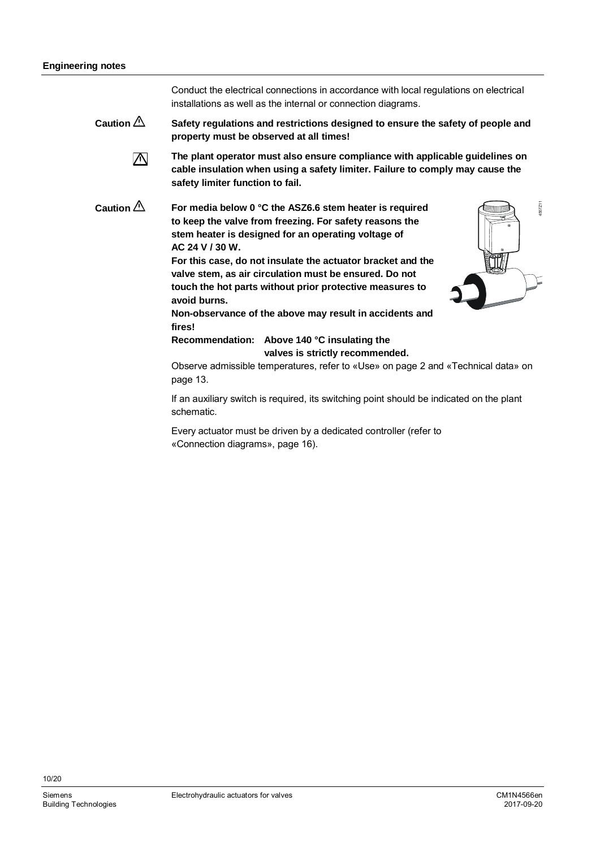|                     | Conduct the electrical connections in accordance with local regulations on electrical<br>installations as well as the internal or connection diagrams.                                                                                                                                                                                                                                                                                                                                                                                                                                                                                                                                                                                                           |
|---------------------|------------------------------------------------------------------------------------------------------------------------------------------------------------------------------------------------------------------------------------------------------------------------------------------------------------------------------------------------------------------------------------------------------------------------------------------------------------------------------------------------------------------------------------------------------------------------------------------------------------------------------------------------------------------------------------------------------------------------------------------------------------------|
| Caution $\triangle$ | Safety regulations and restrictions designed to ensure the safety of people and<br>property must be observed at all times!                                                                                                                                                                                                                                                                                                                                                                                                                                                                                                                                                                                                                                       |
| $\sqrt{N}$          | The plant operator must also ensure compliance with applicable guidelines on<br>cable insulation when using a safety limiter. Failure to comply may cause the<br>safety limiter function to fail.                                                                                                                                                                                                                                                                                                                                                                                                                                                                                                                                                                |
| Caution $\triangle$ | 1567211<br>For media below 0 °C the ASZ6.6 stem heater is required<br>to keep the valve from freezing. For safety reasons the<br>stem heater is designed for an operating voltage of<br>AC 24 V / 30 W.<br>For this case, do not insulate the actuator bracket and the<br>valve stem, as air circulation must be ensured. Do not<br>touch the hot parts without prior protective measures to<br>avoid burns.<br>Non-observance of the above may result in accidents and<br>fires!<br>Recommendation: Above 140 °C insulating the<br>valves is strictly recommended.<br>Observe admissible temperatures, refer to «Use» on page 2 and «Technical data» on<br>page 13.<br>If an auxiliary switch is required, its switching point should be indicated on the plant |
|                     | schematic.                                                                                                                                                                                                                                                                                                                                                                                                                                                                                                                                                                                                                                                                                                                                                       |
|                     |                                                                                                                                                                                                                                                                                                                                                                                                                                                                                                                                                                                                                                                                                                                                                                  |

Every actuator must be driven by a dedicated controller (refer to «Connection diagrams», page [16\)](#page-15-0).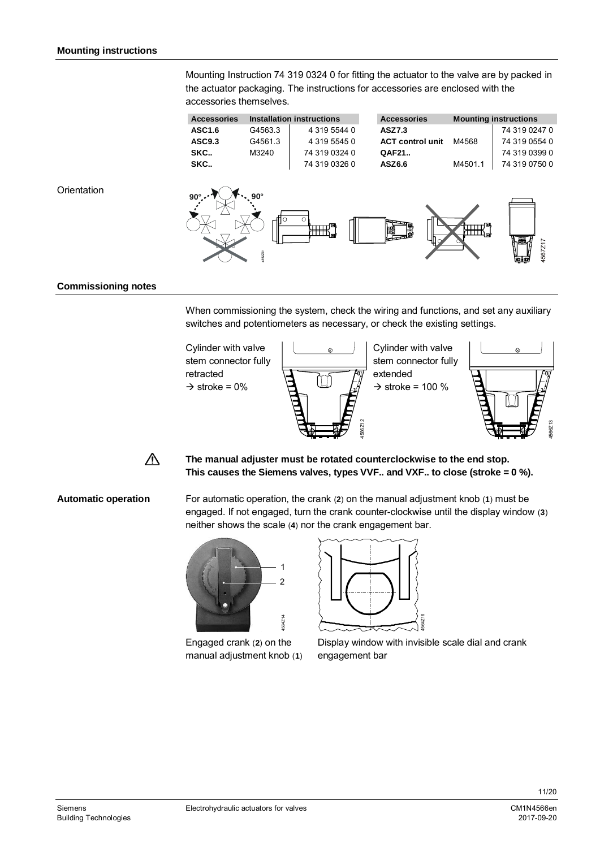Mounting Instruction 74 319 0324 0 for fitting the actuator to the valve are by packed in the actuator packaging. The instructions for accessories are enclosed with the accessories themselves.



#### **Orientation**



#### **Commissioning notes**

When commissioning the system, check the wiring and functions, and set any auxiliary switches and potentiometers as necessary, or check the existing settings.





**The manual adjuster must be rotated counterclockwise to the end stop. This causes the Siemens valves, types VVF.. and VXF.. to close (stroke = 0 %).**

#### **Automatic operation**

For automatic operation, the crank (**2**) on the manual adjustment knob (**1**) must be engaged. If not engaged, turn the crank counter-clockwise until the display window (**3**) neither shows the scale (**4**) nor the crank engagement bar.



Engaged crank (**2**) on the manual adjustment knob (**1**)



Display window with invisible scale dial and crank engagement bar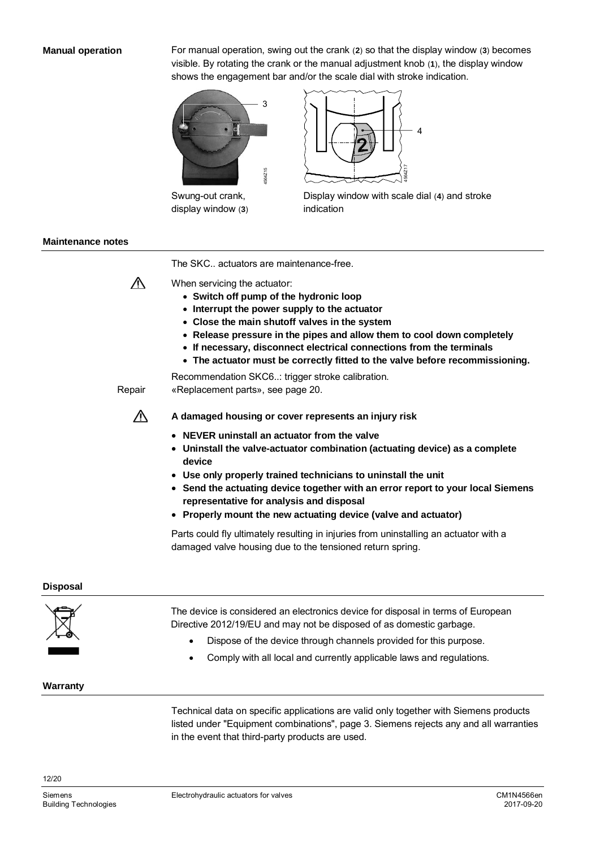#### **Manual operation**

For manual operation, swing out the crank (**2**) so that the display window (**3**) becomes visible. By rotating the crank or the manual adjustment knob (**1**), the display window shows the engagement bar and/or the scale dial with stroke indication.



Swung-out crank, display window (**3**)



Display window with scale dial (**4**) and stroke indication

#### **Maintenance notes**

The SKC.. actuators are maintenance-free.



- When servicing the actuator: ∂ **Switch off pump of the hydronic loop**
	- ∂ **Interrupt the power supply to the actuator**
	- ∂ **Close the main shutoff valves in the system**
	- ∂ **Release pressure in the pipes and allow them to cool down completely**
	- ∂ **If necessary, disconnect electrical connections from the terminals**
	- ∂ **The actuator must be correctly fitted to the valve before recommissioning.**

Recommendation SKC6..: trigger stroke calibration.

«Replacement parts», see page [20.](#page-19-0) Repair

Λ

**A damaged housing or cover represents an injury risk**

- ∂ **NEVER uninstall an actuator from the valve**
- ∂ **Uninstall the valve-actuator combination (actuating device) as a complete device**
- ∂ **Use only properly trained technicians to uninstall the unit**
- ∂ **Send the actuating device together with an error report to your local Siemens representative for analysis and disposal**
- ∂ **Properly mount the new actuating device (valve and actuator)**

Parts could fly ultimately resulting in injuries from uninstalling an actuator with a damaged valve housing due to the tensioned return spring.

#### **Disposal**



Technical data on specific applications are valid only together with Siemens products listed under "Equipment combinations", page [3.](#page-2-0) Siemens rejects any and all warranties in the event that third-party products are used.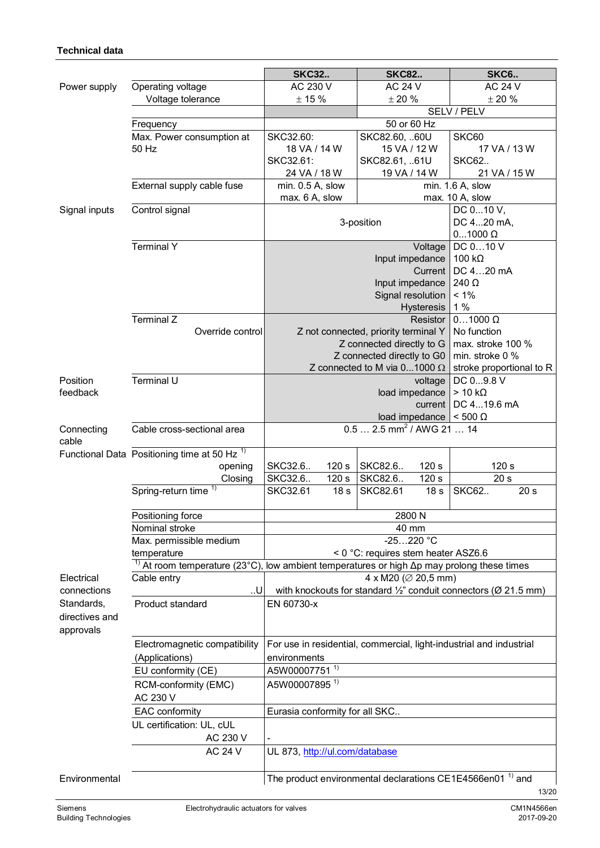#### <span id="page-12-0"></span>**Technical data**

|                     |                                                                                                               | <b>SKC32</b>                                                                            | <b>SKC82</b>                                                         | <b>SKC6</b>                         |  |  |  |
|---------------------|---------------------------------------------------------------------------------------------------------------|-----------------------------------------------------------------------------------------|----------------------------------------------------------------------|-------------------------------------|--|--|--|
| Power supply        | Operating voltage                                                                                             | AC 230 V                                                                                | <b>AC 24 V</b>                                                       | <b>AC 24 V</b>                      |  |  |  |
|                     | Voltage tolerance                                                                                             | $\pm$ 15 %                                                                              | $\pm$ 20 %                                                           | $\pm$ 20 $\%$                       |  |  |  |
|                     |                                                                                                               |                                                                                         |                                                                      | SELV / PELV                         |  |  |  |
|                     | Frequency                                                                                                     |                                                                                         | 50 or 60 Hz                                                          |                                     |  |  |  |
|                     | Max. Power consumption at                                                                                     | SKC32.60:                                                                               | SKC82.60, 60U                                                        | SKC60                               |  |  |  |
|                     | 50 Hz                                                                                                         | 18 VA / 14 W                                                                            | 15 VA / 12 W                                                         | 17 VA / 13 W                        |  |  |  |
|                     |                                                                                                               | SKC32.61:                                                                               | SKC82.61, 61U                                                        | <b>SKC62</b>                        |  |  |  |
|                     |                                                                                                               | 24 VA / 18 W                                                                            | 19 VA / 14 W                                                         | 21 VA / 15 W                        |  |  |  |
|                     | External supply cable fuse                                                                                    | min. 0.5 A, slow<br>max. 6 A, slow                                                      |                                                                      | min. 1.6 A, slow<br>max. 10 A, slow |  |  |  |
| Signal inputs       | Control signal                                                                                                |                                                                                         |                                                                      | DC 010 V,                           |  |  |  |
|                     |                                                                                                               |                                                                                         | 3-position                                                           | DC 420 mA,                          |  |  |  |
|                     |                                                                                                               |                                                                                         |                                                                      | $01000 \Omega$                      |  |  |  |
|                     | <b>Terminal Y</b>                                                                                             |                                                                                         | Voltage                                                              | DC 010 V                            |  |  |  |
|                     |                                                                                                               |                                                                                         | Input impedance                                                      | 100 $k\Omega$                       |  |  |  |
|                     |                                                                                                               |                                                                                         | Current                                                              | DC 420 mA                           |  |  |  |
|                     |                                                                                                               |                                                                                         | Input impedance                                                      | 240 Ω                               |  |  |  |
|                     |                                                                                                               |                                                                                         | Signal resolution                                                    | $< 1\%$                             |  |  |  |
|                     | Terminal Z                                                                                                    |                                                                                         | <b>Hysteresis</b>                                                    | 1%<br>$01000 \Omega$                |  |  |  |
|                     | Override control                                                                                              |                                                                                         | Resistor<br>Z not connected, priority terminal Y                     | No function                         |  |  |  |
|                     |                                                                                                               |                                                                                         | Z connected directly to G                                            | max. stroke 100 %                   |  |  |  |
|                     |                                                                                                               |                                                                                         | Z connected directly to G0                                           | min. stroke 0 %                     |  |  |  |
|                     |                                                                                                               |                                                                                         | Z connected to M via $01000 \Omega$                                  | stroke proportional to R            |  |  |  |
| Position            | Terminal U                                                                                                    |                                                                                         | voltage                                                              | DC 09.8 V                           |  |  |  |
| feedback            |                                                                                                               |                                                                                         | load impedance                                                       | $> 10 k\Omega$                      |  |  |  |
|                     |                                                                                                               |                                                                                         | current                                                              | DC 419.6 mA                         |  |  |  |
|                     |                                                                                                               |                                                                                         | load impedance                                                       | $< 500 \Omega$                      |  |  |  |
| Connecting<br>cable | Cable cross-sectional area                                                                                    |                                                                                         | $0.5$ 2.5 mm <sup>2</sup> / AWG 21  14                               |                                     |  |  |  |
|                     | Functional Data Positioning time at 50 Hz <sup>1)</sup>                                                       |                                                                                         |                                                                      |                                     |  |  |  |
|                     | opening                                                                                                       | SKC32.6<br>120 s                                                                        | SKC82.6<br>120 s                                                     | 120 s                               |  |  |  |
|                     | Closing                                                                                                       | SKC32.6<br>120 s                                                                        | SKC82.6<br>120 s                                                     | 20 <sub>s</sub>                     |  |  |  |
|                     | Spring-return time <sup>1)</sup>                                                                              | SKC32.61<br>18 <sub>s</sub>                                                             | <b>SKC82.61</b><br>18 <sub>s</sub>                                   | <b>SKC62</b><br>20 <sub>s</sub>     |  |  |  |
|                     | Positioning force                                                                                             |                                                                                         | 2800 N                                                               |                                     |  |  |  |
|                     | Nominal stroke                                                                                                | 40 mm                                                                                   |                                                                      |                                     |  |  |  |
|                     | Max. permissible medium                                                                                       |                                                                                         | $-25220 °C$                                                          |                                     |  |  |  |
|                     | temperature                                                                                                   |                                                                                         | < 0 °C: requires stem heater ASZ6.6                                  |                                     |  |  |  |
|                     | <sup>1)</sup> At room temperature (23°C), low ambient temperatures or high $\Delta p$ may prolong these times |                                                                                         |                                                                      |                                     |  |  |  |
| Electrical          | Cable entry                                                                                                   |                                                                                         | 4 x M20 ( $\varnothing$ 20,5 mm)                                     |                                     |  |  |  |
| connections         | .U                                                                                                            | with knockouts for standard $\frac{1}{2}$ " conduit connectors ( $\varnothing$ 21.5 mm) |                                                                      |                                     |  |  |  |
| Standards,          | Product standard                                                                                              | EN 60730-x                                                                              |                                                                      |                                     |  |  |  |
| directives and      |                                                                                                               |                                                                                         |                                                                      |                                     |  |  |  |
| approvals           |                                                                                                               |                                                                                         |                                                                      |                                     |  |  |  |
|                     | Electromagnetic compatibility                                                                                 | For use in residential, commercial, light-industrial and industrial                     |                                                                      |                                     |  |  |  |
|                     | (Applications)                                                                                                | environments                                                                            |                                                                      |                                     |  |  |  |
|                     | EU conformity (CE)                                                                                            | A5W00007751 <sup>1)</sup>                                                               |                                                                      |                                     |  |  |  |
|                     | RCM-conformity (EMC)<br>AC 230 V                                                                              | A5W00007895 <sup>1)</sup>                                                               |                                                                      |                                     |  |  |  |
|                     | EAC conformity                                                                                                | Eurasia conformity for all SKC                                                          |                                                                      |                                     |  |  |  |
|                     | UL certification: UL, cUL                                                                                     |                                                                                         |                                                                      |                                     |  |  |  |
|                     | AC 230 V                                                                                                      |                                                                                         |                                                                      |                                     |  |  |  |
|                     | <b>AC 24 V</b>                                                                                                | UL 873, http://ul.com/database                                                          |                                                                      |                                     |  |  |  |
|                     |                                                                                                               |                                                                                         |                                                                      |                                     |  |  |  |
| Environmental       |                                                                                                               |                                                                                         | The product environmental declarations CE1E4566en01 <sup>1</sup> and | 13/20                               |  |  |  |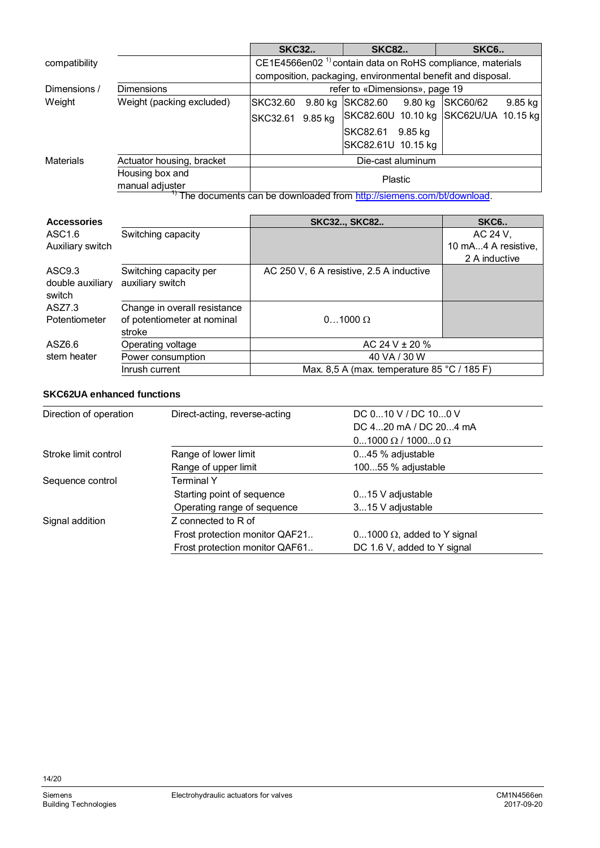|                                                                      |                                                | <b>SKC32</b>                                                                                                                        |           | <b>SKC82</b>                             |           | SKC <sub>6</sub> .  |         |
|----------------------------------------------------------------------|------------------------------------------------|-------------------------------------------------------------------------------------------------------------------------------------|-----------|------------------------------------------|-----------|---------------------|---------|
| compatibility                                                        |                                                | CE1E4566en02 <sup>1</sup> contain data on RoHS compliance, materials<br>composition, packaging, environmental benefit and disposal. |           |                                          |           |                     |         |
|                                                                      |                                                |                                                                                                                                     |           |                                          |           |                     |         |
| Dimensions /                                                         | <b>Dimensions</b>                              | refer to «Dimensions», page 19                                                                                                      |           |                                          |           |                     |         |
| Weight                                                               | Weight (packing excluded)                      | SKC32.60                                                                                                                            | $9.80$ kg | SKC82.60                                 | $9.80$ kg | <b>SKC60/62</b>     | 9.85 kg |
|                                                                      |                                                | SKC32.61                                                                                                                            | 9.85 kg   | <b>SKC82.60U</b>                         | 10.10 kg  | SKC62U/UA 10.15 kg  |         |
|                                                                      |                                                |                                                                                                                                     |           | SKC82.61                                 | 9.85 kg   |                     |         |
|                                                                      |                                                |                                                                                                                                     |           | SKC82.61U 10.15 kg                       |           |                     |         |
| Materials                                                            | Die-cast aluminum<br>Actuator housing, bracket |                                                                                                                                     |           |                                          |           |                     |         |
|                                                                      | Housing box and<br>manual adjuster             | <b>Plastic</b>                                                                                                                      |           |                                          |           |                     |         |
| The documents can be downloaded from http://siemens.com/bt/download. |                                                |                                                                                                                                     |           |                                          |           |                     |         |
| <b>Accessories</b>                                                   |                                                |                                                                                                                                     |           | <b>SKC32 SKC82</b>                       |           | <b>SKC6</b>         |         |
| ASC <sub>1.6</sub>                                                   | Switching capacity                             |                                                                                                                                     |           |                                          |           | AC 24 V,            |         |
| Auxiliary switch                                                     |                                                |                                                                                                                                     |           |                                          |           | 10 mA4 A resistive. |         |
|                                                                      |                                                |                                                                                                                                     |           |                                          |           | 2 A inductive       |         |
| ASC <sub>9.3</sub><br>double auxiliary<br>switch                     | Switching capacity per<br>auxiliary switch     |                                                                                                                                     |           | AC 250 V, 6 A resistive, 2.5 A inductive |           |                     |         |

| ASZ7.3<br>Potentiometer | Change in overall resistance<br>of potentiometer at nominal<br>stroke | $01000 \Omega$                              |  |  |
|-------------------------|-----------------------------------------------------------------------|---------------------------------------------|--|--|
| ASZ6.6                  | Operating voltage                                                     | AC 24 V $\pm$ 20 %                          |  |  |
| stem heater             | Power consumption                                                     | 40 VA / 30 W                                |  |  |
|                         | Inrush current                                                        | Max. 8,5 A (max. temperature 85 °C / 185 F) |  |  |

### **SKC62UA enhanced functions**

| Direction of operation | Direct-acting, reverse-acting  | DC $010$ V / DC $100$ V            |  |
|------------------------|--------------------------------|------------------------------------|--|
|                        |                                | DC 420 mA / DC 204 mA              |  |
|                        |                                | $01000 \Omega / 10000 \Omega$      |  |
| Stroke limit control   | Range of lower limit           | 045 % adjustable                   |  |
|                        | Range of upper limit           | 10055 % adjustable                 |  |
| Sequence control       | Terminal Y                     |                                    |  |
|                        | Starting point of sequence     | $015$ V adjustable                 |  |
|                        | Operating range of sequence    | 315 V adjustable                   |  |
| Signal addition        | Z connected to R of            |                                    |  |
|                        | Frost protection monitor QAF21 | 01000 $\Omega$ , added to Y signal |  |
|                        | Frost protection monitor QAF61 | DC 1.6 V, added to Y signal        |  |
|                        |                                |                                    |  |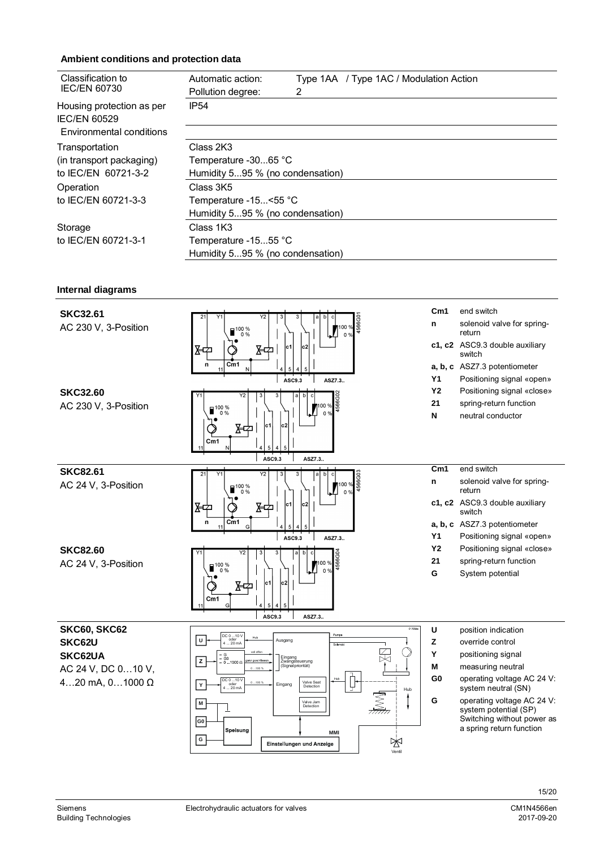#### **Ambient conditions and protection data**

| Classification to                                                            | Automatic action:                | Type 1AA / Type 1AC / Modulation Action |  |  |  |
|------------------------------------------------------------------------------|----------------------------------|-----------------------------------------|--|--|--|
| <b>IEC/EN 60730</b>                                                          | Pollution degree:                | 2                                       |  |  |  |
| Housing protection as per<br><b>IEC/EN 60529</b><br>Environmental conditions | <b>IP54</b>                      |                                         |  |  |  |
| Transportation                                                               | Class 2K3                        |                                         |  |  |  |
| (in transport packaging)                                                     | Temperature -3065 °C             |                                         |  |  |  |
| to IEC/EN 60721-3-2                                                          | Humidity 595 % (no condensation) |                                         |  |  |  |
| Operation                                                                    | Class 3K5                        |                                         |  |  |  |
| to IEC/EN 60721-3-3                                                          | Temperature -15<55 °C            |                                         |  |  |  |
|                                                                              | Humidity 595 % (no condensation) |                                         |  |  |  |
| Storage                                                                      | Class 1K3                        |                                         |  |  |  |
| to IEC/EN 60721-3-1                                                          | Temperature -1555 °C             |                                         |  |  |  |
|                                                                              | Humidity 595 % (no condensation) |                                         |  |  |  |

#### **Internal diagrams**

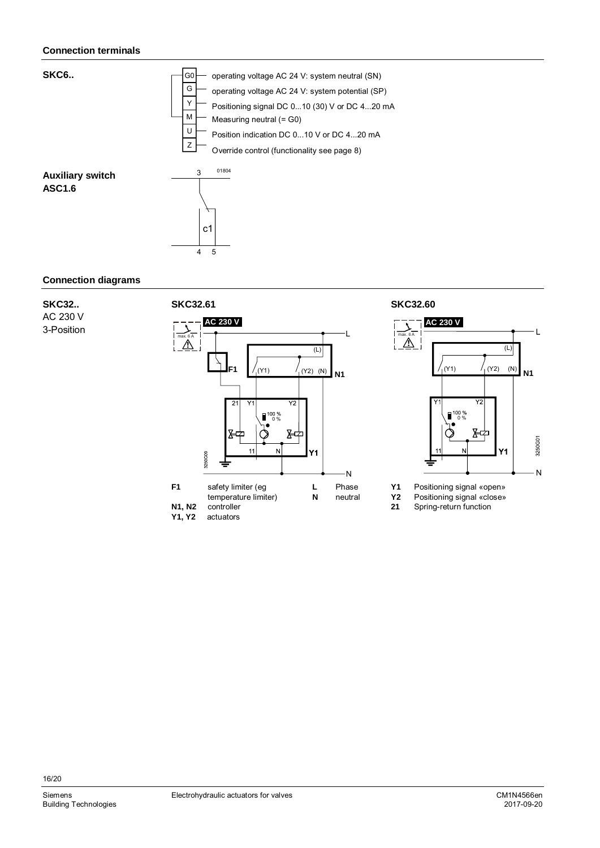#### **Connection terminals**



#### <span id="page-15-0"></span>**Connection diagrams**

**SKC32..** AC 230 V

3-Position





- **Y1** Positioning signal «open»
- Y2 Positioning signal «close»<br>21 Spring-return function

**21** Spring-return function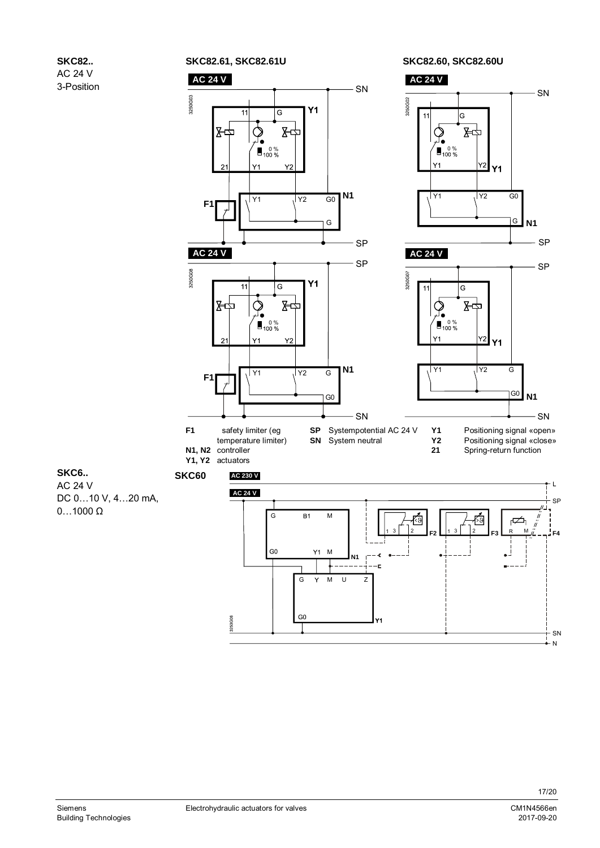



Y1

**SKC6..** AC 24 V DC 0…10 V, 4…20 mA, 0…1000 Ω

SN

N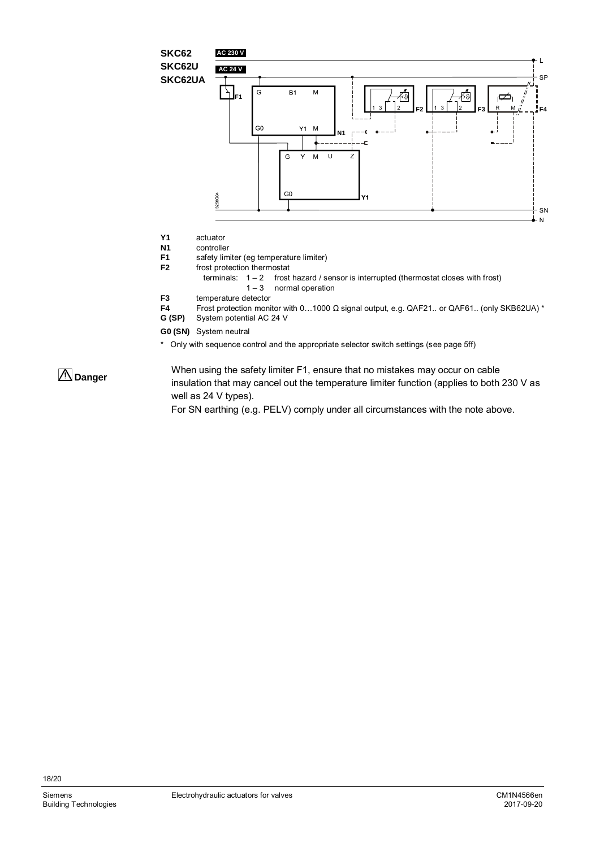

- **Y1** actuator
- **N1** controller<br>**F1** safety lim
- safety limiter (eg temperature limiter)
- **F2** frost protection thermostat<br>terminals:  $1 2$  frost
	- frost hazard / sensor is interrupted (thermostat closes with frost)  $1 - 3$  normal operation
- **F3** temperature detector
- **F4** Frost protection monitor with 0…1000 Ω signal output, e.g. QAF21.. or QAF61.. (only SKB62UA) \*
- System potential AC 24 V
- **G0 (SN)** System neutral
- \* Only with sequence control and the appropriate selector switch settings (see page 5ff)

 **Danger**

When using the safety limiter F1, ensure that no mistakes may occur on cable insulation that may cancel out the temperature limiter function (applies to both 230 V as well as 24 V types).

For SN earthing (e.g. PELV) comply under all circumstances with the note above.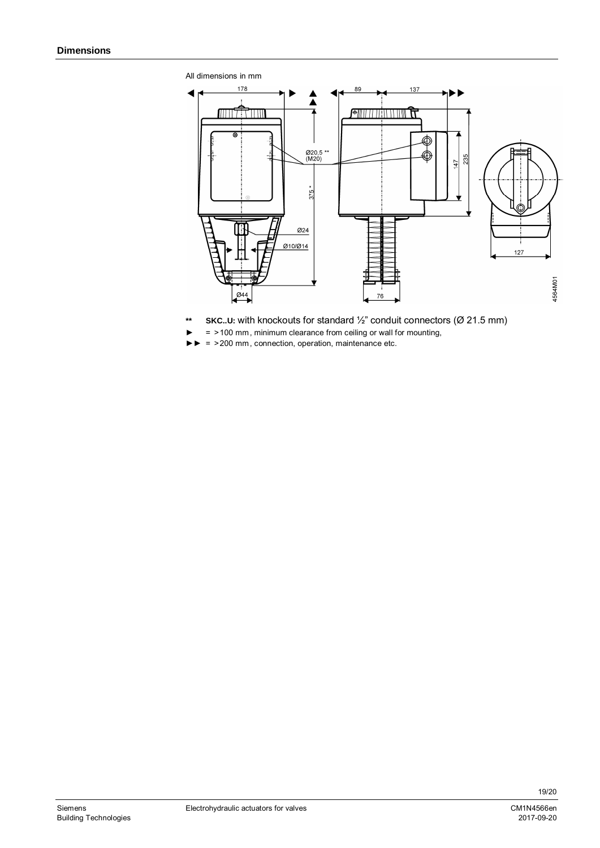<span id="page-18-0"></span>



- **\*\* SKC..U:** with knockouts for standard ½" conduit connectors (Ø 21.5 mm)
- ► = >100 mm , minimum clearance from ceiling or wall for mounting,
- ►► = >200 mm , connection, operation, maintenance etc.